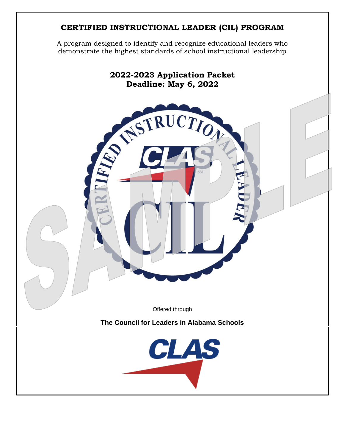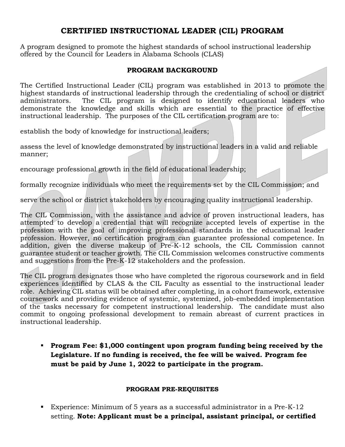## **CERTIFIED INSTRUCTIONAL LEADER (CIL) PROGRAM**

A program designed to promote the highest standards of school instructional leadership offered by the Council for Leaders in Alabama Schools (CLAS)

#### **PROGRAM BACKGROUND**

The Certified Instructional Leader (CIL) program was established in 2013 to promote the highest standards of instructional leadership through the credentialing of school or district administrators. The CIL program is designed to identify educational leaders who demonstrate the knowledge and skills which are essential to the practice of effective instructional leadership. The purposes of the CIL certification program are to:

establish the body of knowledge for instructional leaders;

assess the level of knowledge demonstrated by instructional leaders in a valid and reliable manner;

encourage professional growth in the field of educational leadership;

formally recognize individuals who meet the requirements set by the CIL Commission; and

serve the school or district stakeholders by encouraging quality instructional leadership.

The CIL Commission, with the assistance and advice of proven instructional leaders, has attempted to develop a credential that will recognize accepted levels of expertise in the profession with the goal of improving professional standards in the educational leader profession. However, no certification program can guarantee professional competence. In addition, given the diverse makeup of Pre-K-12 schools, the CIL Commission cannot guarantee student or teacher growth. The CIL Commission welcomes constructive comments and suggestions from the Pre-K-12 stakeholders and the profession.

The CIL program designates those who have completed the rigorous coursework and in field experiences identified by CLAS & the CIL Faculty as essential to the instructional leader role. Achieving CIL status will be obtained after completing, in a cohort framework, extensive coursework and providing evidence of systemic, systemized, job-embedded implementation of the tasks necessary for competent instructional leadership. The candidate must also commit to ongoing professional development to remain abreast of current practices in instructional leadership.

▪ **Program Fee: \$1,000 contingent upon program funding being received by the Legislature. If no funding is received, the fee will be waived. Program fee must be paid by June 1, 2022 to participate in the program.**

#### **PROGRAM PRE-REQUISITES**

■ Experience: Minimum of 5 years as a successful administrator in a Pre-K-12 setting. **Note: Applicant must be a principal, assistant principal, or certified**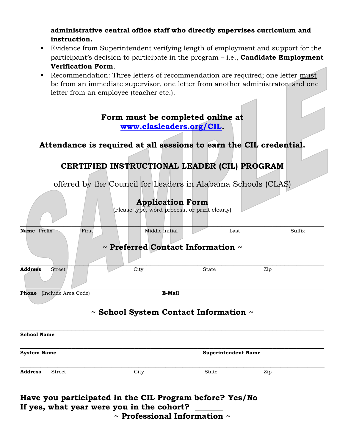### **administrative central office staff who directly supervises curriculum and instruction.**

- Evidence from Superintendent verifying length of employment and support for the participant's decision to participate in the program – i.e., **Candidate Employment Verification Form**.
- Recommendation: Three letters of recommendation are required; one letter must be from an immediate supervisor, one letter from another administrator, and one letter from an employee (teacher etc.).

**Form must be completed online at [www.clasleaders.org/CIL.](http://www.clasleaders.org/CIL)**

## **Attendance is required at all sessions to earn the CIL credential.**

## **CERTIFIED INSTRUCTIONAL LEADER (CIL) PROGRAM**

offered by the Council for Leaders in Alabama Schools (CLAS)

|                                 | <b>Application Form</b><br>(Please type, word process, or print clearly) |                            |        |  |
|---------------------------------|--------------------------------------------------------------------------|----------------------------|--------|--|
| Name Prefix<br>First            | Middle Initial<br>$\sim$ Preferred Contact Information $\sim$            | Last                       | Suffix |  |
| <b>Address</b><br>Street        | City                                                                     | <b>State</b>               | Zip    |  |
| (Include Area Code)<br>Phone    | E-Mail<br>~ School System Contact Information ~                          |                            |        |  |
| <b>School Name</b>              |                                                                          |                            |        |  |
| <b>System Name</b>              |                                                                          | <b>Superintendent Name</b> |        |  |
| <b>Address</b><br><b>Street</b> | City                                                                     | <b>State</b>               | Zip    |  |

| Have you participated in the CIL Program before? Yes/No |  |
|---------------------------------------------------------|--|
| If yes, what year were you in the cohort?               |  |
| $\sim$ Professional Information $\sim$                  |  |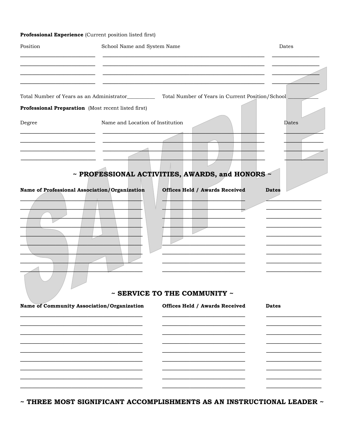#### Professional Experience (Current position listed first)

| Position                                                                                                |                                                           | School Name and System Name                                         |  |              |
|---------------------------------------------------------------------------------------------------------|-----------------------------------------------------------|---------------------------------------------------------------------|--|--------------|
|                                                                                                         |                                                           |                                                                     |  |              |
| Total Number of Years as an Administrator_____________ Total Number of Years in Current Position/School |                                                           |                                                                     |  |              |
| Professional Preparation (Most recent listed first)                                                     |                                                           |                                                                     |  |              |
| Degree                                                                                                  | Name and Location of Institution                          |                                                                     |  | Dates        |
|                                                                                                         | $\sim$ PROFESSIONAL ACTIVITIES, AWARDS, and HONORS $\sim$ |                                                                     |  |              |
|                                                                                                         |                                                           |                                                                     |  |              |
| Name of Professional Association/Organization                                                           | $\tilde{\phantom{a}}$                                     | <b>Offices Held / Awards Received</b><br>SERVICE TO THE COMMUNITY ~ |  | <b>Dates</b> |
| Name of Community Association/Organization                                                              |                                                           | <b>Offices Held / Awards Received</b>                               |  | <b>Dates</b> |
|                                                                                                         |                                                           |                                                                     |  |              |
|                                                                                                         |                                                           |                                                                     |  |              |
|                                                                                                         |                                                           |                                                                     |  |              |

 $\sim$  THREE MOST SIGNIFICANT ACCOMPLISHMENTS AS AN INSTRUCTIONAL LEADER  $\sim$